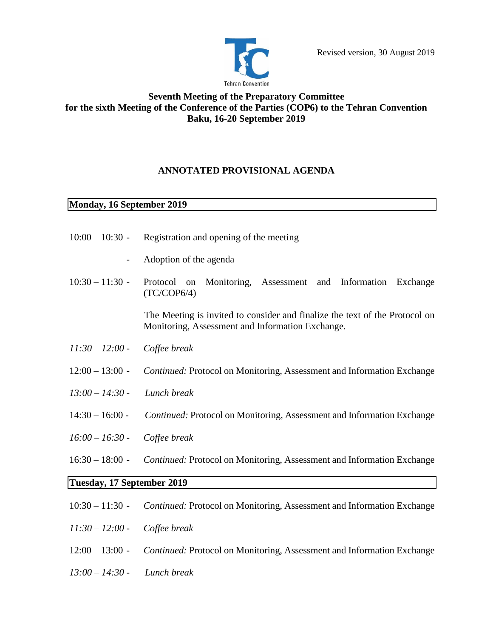

# **Seventh Meeting of the Preparatory Committee for the sixth Meeting of the Conference of the Parties (COP6) to the Tehran Convention Baku, 16-20 September 2019**

## **ANNOTATED PROVISIONAL AGENDA**

### **Monday, 16 September 2019**

- $10:00 10:30$  Registration and opening of the meeting
	- Adoption of the agenda
- 10:30 11:30 Protocol on Monitoring, Assessment and Information Exchange (TC/COP6/4)

 The Meeting is invited to consider and finalize the text of the Protocol on Monitoring, Assessment and Information Exchange.

- *11:30 – 12:00 - Coffee break*
- 12:00 13:00 *Continued:* Protocol on Monitoring, Assessment and Information Exchange
- *13:00 14:30 - Lunch break*
- 14:30 16:00 *Continued:* Protocol on Monitoring, Assessment and Information Exchange
- *16:00 – 16:30 - Coffee break*
- 16:30 18:00 *Continued:* Protocol on Monitoring, Assessment and Information Exchange

# **Tuesday, 17 September 2019**

- 10:30 11:30 *Continued:* Protocol on Monitoring, Assessment and Information Exchange
- *11:30 – 12:00 - Coffee break*
- 12:00 13:00 *Continued:* Protocol on Monitoring, Assessment and Information Exchange
- *13:00 14:30 - Lunch break*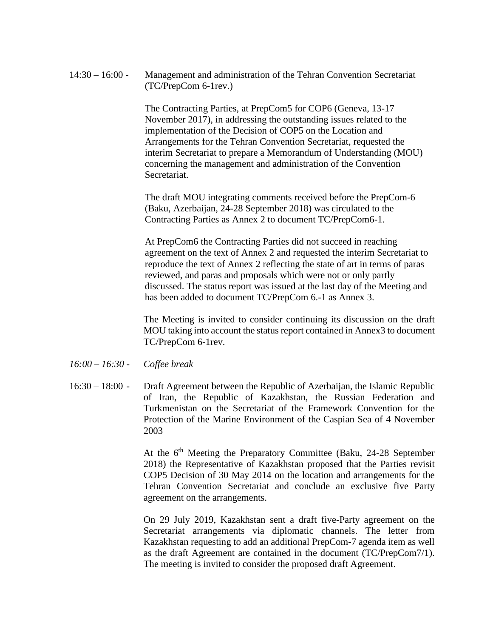14:30 – 16:00 - Management and administration of the Tehran Convention Secretariat (TC/PrepCom 6-1rev.)

> The Contracting Parties, at PrepCom5 for COP6 (Geneva, 13-17 November 2017), in addressing the outstanding issues related to the implementation of the Decision of COP5 on the Location and Arrangements for the Tehran Convention Secretariat, requested the interim Secretariat to prepare a Memorandum of Understanding (MOU) concerning the management and administration of the Convention **Secretariat**

The draft MOU integrating comments received before the PrepCom-6 (Baku, Azerbaijan, 24-28 September 2018) was circulated to the Contracting Parties as Annex 2 to document TC/PrepCom6-1.

At PrepCom6 the Contracting Parties did not succeed in reaching agreement on the text of Annex 2 and requested the interim Secretariat to reproduce the text of Annex 2 reflecting the state of art in terms of paras reviewed, and paras and proposals which were not or only partly discussed. The status report was issued at the last day of the Meeting and has been added to document TC/PrepCom 6.-1 as Annex 3.

The Meeting is invited to consider continuing its discussion on the draft MOU taking into account the status report contained in Annex3 to document TC/PrepCom 6-1rev.

- *16:00 – 16:30 - Coffee break*
- 16:30 18:00 Draft Agreement between the Republic of Azerbaijan, the Islamic Republic of Iran, the Republic of Kazakhstan, the Russian Federation and Turkmenistan on the Secretariat of the Framework Convention for the Protection of the Marine Environment of the Caspian Sea of 4 November 2003

At the 6<sup>th</sup> Meeting the Preparatory Committee (Baku, 24-28 September 2018) the Representative of Kazakhstan proposed that the Parties revisit COP5 Decision of 30 May 2014 on the location and arrangements for the Tehran Convention Secretariat and conclude an exclusive five Party agreement on the arrangements.

On 29 July 2019, Kazakhstan sent a draft five-Party agreement on the Secretariat arrangements via diplomatic channels. The letter from Kazakhstan requesting to add an additional PrepCom-7 agenda item as well as the draft Agreement are contained in the document (TC/PrepCom7/1). The meeting is invited to consider the proposed draft Agreement.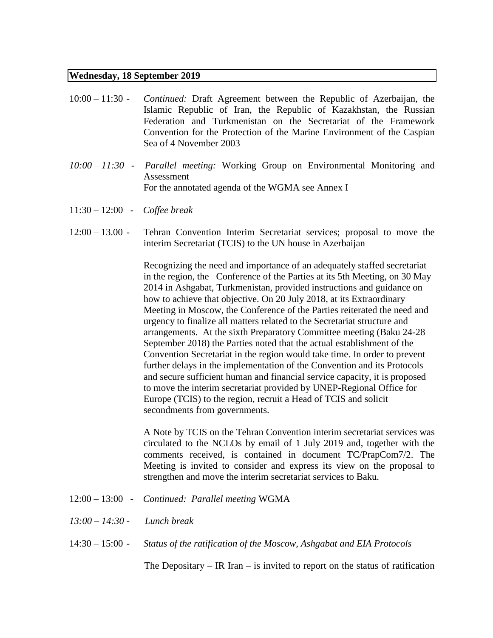### **Wednesday, 18 September 2019**

- 10:00 11:30 *Continued:* Draft Agreement between the Republic of Azerbaijan, the Islamic Republic of Iran, the Republic of Kazakhstan, the Russian Federation and Turkmenistan on the Secretariat of the Framework Convention for the Protection of the Marine Environment of the Caspian Sea of 4 November 2003
- *10:00 – 11:30 - Parallel meeting:* Working Group on Environmental Monitoring and Assessment For the annotated agenda of the WGMA see Annex I
- 11:30 12:00 *Coffee break*
- 12:00 13.00 Tehran Convention Interim Secretariat services; proposal to move the interim Secretariat (TCIS) to the UN house in Azerbaijan

Recognizing the need and importance of an adequately staffed secretariat in the region, the Conference of the Parties at its 5th Meeting, on 30 May 2014 in Ashgabat, Turkmenistan, provided instructions and guidance on how to achieve that objective. On 20 July 2018, at its Extraordinary Meeting in Moscow, the Conference of the Parties reiterated the need and urgency to finalize all matters related to the Secretariat structure and arrangements. At the sixth Preparatory Committee meeting (Baku 24-28 September 2018) the Parties noted that the actual establishment of the Convention Secretariat in the region would take time. In order to prevent further delays in the implementation of the Convention and its Protocols and secure sufficient human and financial service capacity, it is proposed to move the interim secretariat provided by UNEP-Regional Office for Europe (TCIS) to the region, recruit a Head of TCIS and solicit secondments from governments.

A Note by TCIS on the Tehran Convention interim secretariat services was circulated to the NCLOs by email of 1 July 2019 and, together with the comments received, is contained in document TC/PrapCom7/2. The Meeting is invited to consider and express its view on the proposal to strengthen and move the interim secretariat services to Baku.

- 12:00 13:00 - *Continued: Parallel meeting* WGMA
- *13:00 – 14:30 - Lunch break*
- 14:30 15:00 *Status of the ratification of the Moscow, Ashgabat and EIA Protocols*

The Depositary – IR Iran – is invited to report on the status of ratification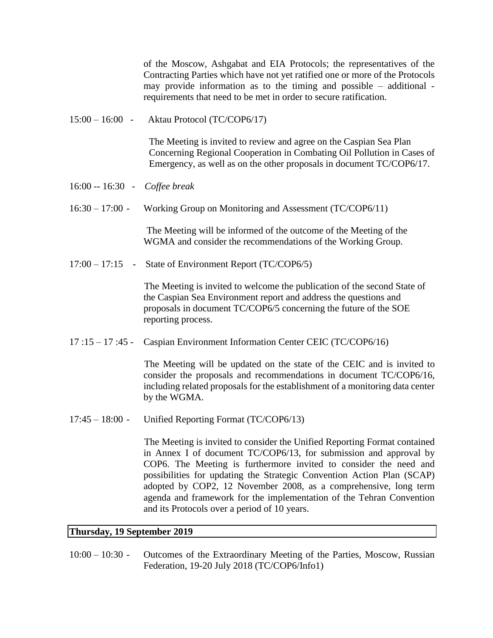of the Moscow, Ashgabat and EIA Protocols; the representatives of the Contracting Parties which have not yet ratified one or more of the Protocols may provide information as to the timing and possible – additional requirements that need to be met in order to secure ratification.

15:00 – 16:00 - Aktau Protocol (TC/COP6/17)

 The Meeting is invited to review and agree on the Caspian Sea Plan Concerning Regional Cooperation in Combating Oil Pollution in Cases of Emergency, as well as on the other proposals in document TC/COP6/17.

- 16:00 -- 16:30 *Coffee break*
- 16:30 17:00 Working Group on Monitoring and Assessment (TC/COP6/11)

 The Meeting will be informed of the outcome of the Meeting of the WGMA and consider the recommendations of the Working Group.

17:00 – 17:15 - State of Environment Report (TC/COP6/5)

 The Meeting is invited to welcome the publication of the second State of the Caspian Sea Environment report and address the questions and proposals in document TC/COP6/5 concerning the future of the SOE reporting process.

17 :15 – 17 :45 - Caspian Environment Information Center CEIC (TC/COP6/16)

 The Meeting will be updated on the state of the CEIC and is invited to consider the proposals and recommendations in document TC/COP6/16, including related proposals for the establishment of a monitoring data center by the WGMA.

17:45 – 18:00 - Unified Reporting Format (TC/COP6/13)

 The Meeting is invited to consider the Unified Reporting Format contained in Annex I of document TC/COP6/13, for submission and approval by COP6. The Meeting is furthermore invited to consider the need and possibilities for updating the Strategic Convention Action Plan (SCAP) adopted by COP2, 12 November 2008, as a comprehensive, long term agenda and framework for the implementation of the Tehran Convention and its Protocols over a period of 10 years.

### **Thursday, 19 September 2019**

10:00 – 10:30 - Outcomes of the Extraordinary Meeting of the Parties, Moscow, Russian Federation, 19-20 July 2018 (TC/COP6/Info1)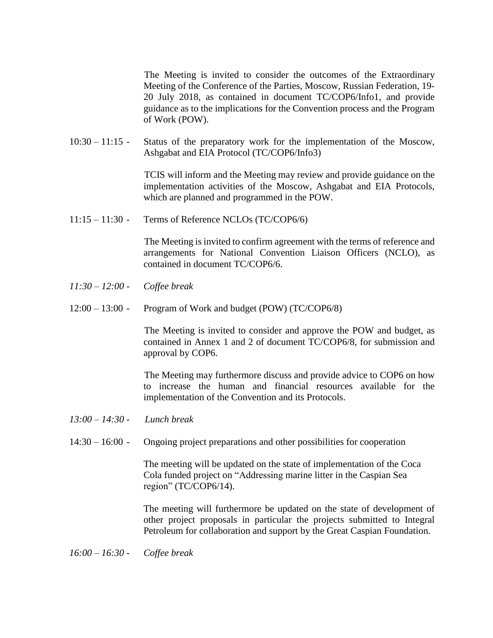The Meeting is invited to consider the outcomes of the Extraordinary Meeting of the Conference of the Parties, Moscow, Russian Federation, 19- 20 July 2018, as contained in document TC/COP6/Info1, and provide guidance as to the implications for the Convention process and the Program of Work (POW).

10:30 – 11:15 - Status of the preparatory work for the implementation of the Moscow, Ashgabat and EIA Protocol (TC/COP6/Info3)

> TCIS will inform and the Meeting may review and provide guidance on the implementation activities of the Moscow, Ashgabat and EIA Protocols, which are planned and programmed in the POW.

 $11:15 - 11:30$  - Terms of Reference NCLOs (TC/COP6/6)

 The Meeting is invited to confirm agreement with the terms of reference and arrangements for National Convention Liaison Officers (NCLO), as contained in document TC/COP6/6.

- *11:30 – 12:00 - Coffee break*
- 12:00 13:00 Program of Work and budget (POW) (TC/COP6/8)

 The Meeting is invited to consider and approve the POW and budget, as contained in Annex 1 and 2 of document TC/COP6/8, for submission and approval by COP6.

 The Meeting may furthermore discuss and provide advice to COP6 on how to increase the human and financial resources available for the implementation of the Convention and its Protocols.

- *13:00 14:30 - Lunch break*
- 14:30 16:00 Ongoing project preparations and other possibilities for cooperation

The meeting will be updated on the state of implementation of the Coca Cola funded project on "Addressing marine litter in the Caspian Sea region" (TC/COP6/14).

The meeting will furthermore be updated on the state of development of other project proposals in particular the projects submitted to Integral Petroleum for collaboration and support by the Great Caspian Foundation.

*16:00 – 16:30 - Coffee break*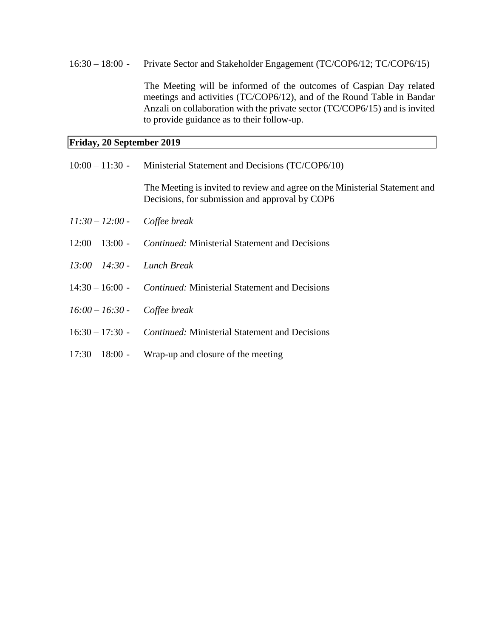### 16:30 – 18:00 - Private Sector and Stakeholder Engagement (TC/COP6/12; TC/COP6/15)

 The Meeting will be informed of the outcomes of Caspian Day related meetings and activities (TC/COP6/12), and of the Round Table in Bandar Anzali on collaboration with the private sector (TC/COP6/15) and is invited to provide guidance as to their follow-up.

# **Friday, 20 September 2019**

|                                | $10:00 - 11:30$ - Ministerial Statement and Decisions (TC/COP6/10)                                                            |
|--------------------------------|-------------------------------------------------------------------------------------------------------------------------------|
|                                | The Meeting is invited to review and agree on the Ministerial Statement and<br>Decisions, for submission and approval by COP6 |
| $11:30 - 12:00$ -              | Coffee break                                                                                                                  |
|                                | $12:00 - 13:00$ - <i>Continued:</i> Ministerial Statement and Decisions                                                       |
| $13:00 - 14:30$                | Lunch Break                                                                                                                   |
| $14:30 - 16:00$ -              | <i>Continued:</i> Ministerial Statement and Decisions                                                                         |
| $16:00 - 16:30$ - Coffee break |                                                                                                                               |
|                                | 16:30 – 17:30 - <i>Continued:</i> Ministerial Statement and Decisions                                                         |
| $17:30 - 18:00 -$              | Wrap-up and closure of the meeting                                                                                            |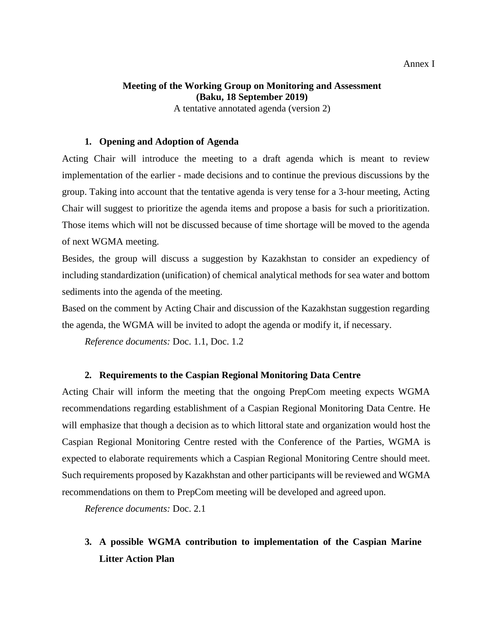# **Meeting of the Working Group on Monitoring and Assessment (Baku, 18 September 2019)**

A tentative annotated agenda (version 2)

### **1. Opening and Adoption of Agenda**

Acting Chair will introduce the meeting to a draft agenda which is meant to review implementation of the earlier - made decisions and to continue the previous discussions by the group. Taking into account that the tentative agenda is very tense for a 3-hour meeting, Acting Chair will suggest to prioritize the agenda items and propose a basis for such a prioritization. Those items which will not be discussed because of time shortage will be moved to the agenda of next WGMA meeting.

Besides, the group will discuss a suggestion by Kazakhstan to consider an expediency of including standardization (unification) of chemical analytical methods for sea water and bottom sediments into the agenda of the meeting.

Based on the comment by Acting Chair and discussion of the Kazakhstan suggestion regarding the agenda, the WGMA will be invited to adopt the agenda or modify it, if necessary.

*Reference documents:* Doc. 1.1, Doc. 1.2

## **2. Requirements to the Caspian Regional Monitoring Data Centre**

Acting Chair will inform the meeting that the ongoing PrepCom meeting expects WGMA recommendations regarding establishment of a Caspian Regional Monitoring Data Centre. He will emphasize that though a decision as to which littoral state and organization would host the Caspian Regional Monitoring Centre rested with the Conference of the Parties, WGMA is expected to elaborate requirements which a Caspian Regional Monitoring Centre should meet. Such requirements proposed by Kazakhstan and other participants will be reviewed and WGMA recommendations on them to PrepCom meeting will be developed and agreed upon.

*Reference documents:* Doc. 2.1

# **3. A possible WGMA contribution to implementation of the Caspian Marine Litter Action Plan**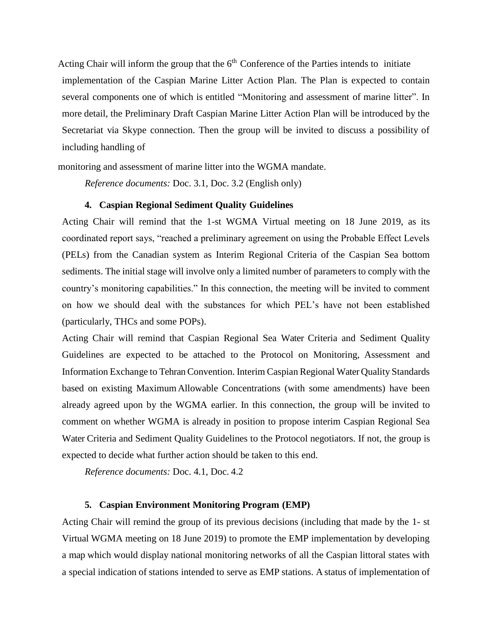Acting Chair will inform the group that the  $6<sup>th</sup>$  Conference of the Parties intends to initiate implementation of the Caspian Marine Litter Action Plan. The Plan is expected to contain several components one of which is entitled "Monitoring and assessment of marine litter". In more detail, the Preliminary Draft Caspian Marine Litter Action Plan will be introduced by the Secretariat via Skype connection. Then the group will be invited to discuss a possibility of including handling of

monitoring and assessment of marine litter into the WGMA mandate.

*Reference documents:* Doc. 3.1, Doc. 3.2 (English only)

#### **4. Caspian Regional Sediment Quality Guidelines**

Acting Chair will remind that the 1-st WGMA Virtual meeting on 18 June 2019, as its coordinated report says, "reached a preliminary agreement on using the Probable Effect Levels (PELs) from the Canadian system as Interim Regional Criteria of the Caspian Sea bottom sediments. The initial stage will involve only a limited number of parameters to comply with the country's monitoring capabilities." In this connection, the meeting will be invited to comment on how we should deal with the substances for which PEL's have not been established (particularly, THCs and some POPs).

Acting Chair will remind that Caspian Regional Sea Water Criteria and Sediment Quality Guidelines are expected to be attached to the Protocol on Monitoring, Assessment and Information Exchange to Tehran Convention. Interim Caspian Regional Water Quality Standards based on existing MaximumAllowable Concentrations (with some amendments) have been already agreed upon by the WGMA earlier. In this connection, the group will be invited to comment on whether WGMA is already in position to propose interim Caspian Regional Sea Water Criteria and Sediment Quality Guidelines to the Protocol negotiators. If not, the group is expected to decide what further action should be taken to this end.

*Reference documents:* Doc. 4.1, Doc. 4.2

### **5. Caspian Environment Monitoring Program (EMP)**

Acting Chair will remind the group of its previous decisions (including that made by the 1- st Virtual WGMA meeting on 18 June 2019) to promote the EMP implementation by developing a map which would display national monitoring networks of all the Caspian littoral states with a special indication of stations intended to serve as EMP stations. A status of implementation of